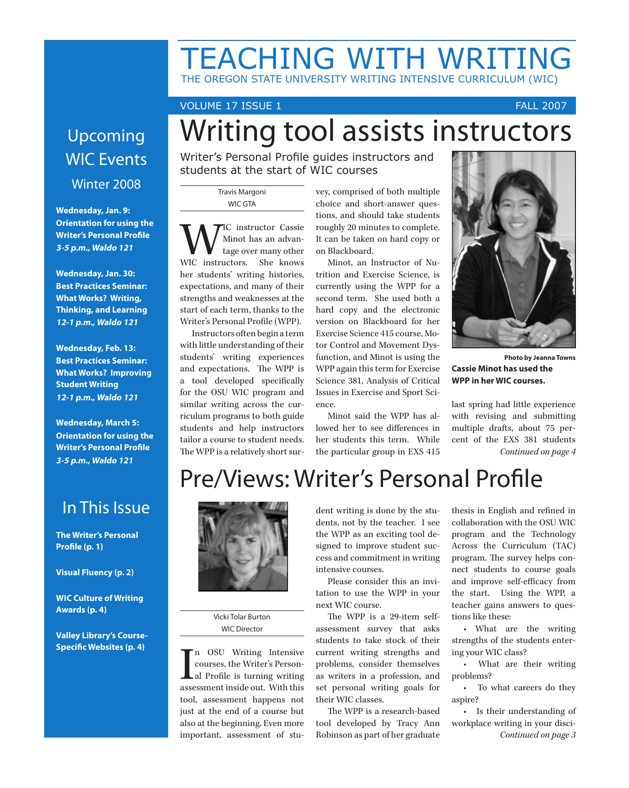# TEACHING WITH WRITING THE OREGON STATE UNIVERSITY WRITING INTENSIVE CURRICULUM (WIC)

Writing tool assists instructors

VOLUME 17 ISSUE 1 FALL 2007

# Upcoming WIC Events

### Winter 2008

**Wednesday, Jan. 9: Orientation for using the Writer's Personal Profile 3-5 p.m., Waldo 121**

**Wednesday, Jan. 30: Best Practices Seminar: What Works? Writing, Thinking, and Learning 12-1 p.m., Waldo 121**

**Wednesday, Feb. 13: Best Practices Seminar: What Works? Improving Student Writing 12-1 p.m., Waldo 121**

**Wednesday, March 5: Orientation for using the Writer's Personal Profile 3-5 p.m., Waldo 121**

## Writer's Personal Profile guides instructors and students at the start of WIC courses

Travis Margoni WIC GTA

WIC instructor Cassie WIC instructors. She knows Minot has an advantage over many other her students' writing histories, expectations, and many of their strengths and weaknesses at the start of each term, thanks to the Writer's Personal Profile (WPP).

Instructors often begin a term with little understanding of their students' writing experiences and expectations. The WPP is a tool developed specifically for the OSU WIC program and similar writing across the curriculum programs to both guide students and help instructors tailor a course to student needs. The WPP is a relatively short survey, comprised of both multiple choice and short-answer questions, and should take students roughly 20 minutes to complete. It can be taken on hard copy or on Blackboard.

Minot, an Instructor of Nutrition and Exercise Science, is currently using the WPP for a second term. She used both a hard copy and the electronic version on Blackboard for her Exercise Science 415 course, Motor Control and Movement Dysfunction, and Minot is using the WPP again this term for Exercise Science 381, Analysis of Critical Issues in Exercise and Sport Science.

Minot said the WPP has allowed her to see differences in her students this term. While the particular group in EXS 415



**Photo by Jeanna Towns Cassie Minot has used the WPP in her WIC courses.** 

last spring had little experience with revising and submitting multiple drafts, about 75 percent of the EXS 381 students *Continued on page 4*

# Pre/Views: Writer's Personal Profile

## In This Issue

**The Writer's Personal Profile (p. 1)**

**Visual Fluency (p. 2)**

**WIC Culture of Writing Awards (p. 4)**

**Valley Library's Course-Specific Websites (p. 4)**



Vicki Tolar Burton WIC Director

 $\prod_{\text{asse}}$ n OSU Writing Intensive courses, the Writer's Personal Profile is turning writing assessment inside out. With this tool, assessment happens not just at the end of a course but also at the beginning. Even more important, assessment of stu-

dent writing is done by the students, not by the teacher. I see the WPP as an exciting tool designed to improve student success and commitment in writing intensive courses.

Please consider this an invitation to use the WPP in your next WIC course.

The WPP is a 29-item selfassessment survey that asks students to take stock of their current writing strengths and problems, consider themselves as writers in a profession, and set personal writing goals for their WIC classes.

The WPP is a research-based tool developed by Tracy Ann Robinson as part of her graduate thesis in English and refined in collaboration with the OSU WIC program and the Technology Across the Curriculum (TAC) program. The survey helps connect students to course goals and improve self-efficacy from the start. Using the WPP, a teacher gains answers to questions like these:

• What are the writing strengths of the students entering your WIC class?

• What are their writing problems?

• To what careers do they aspire?

• Is their understanding of workplace writing in your disci-*Continued on page 3*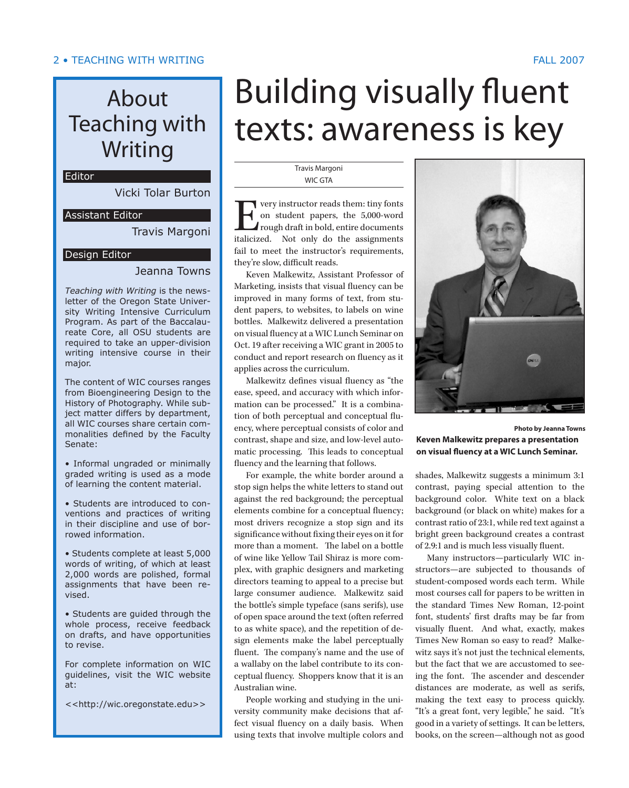#### • TEACHING WITH WRITING FALL 2007 FALL 2007 TEACHING WITH WRITING •

# About Teaching with Writing

#### Editor

Vicki Tolar Burton

#### Assistant Editor

Travis Margoni

#### Design Editor

#### Jeanna Towns

*Teaching with Writing* is the newsletter of the Oregon State University Writing Intensive Curriculum Program. As part of the Baccalaureate Core, all OSU students are required to take an upper-division writing intensive course in their major.

The content of WIC courses ranges from Bioengineering Design to the History of Photography. While subject matter differs by department, all WIC courses share certain commonalities defined by the Faculty Senate:

• Informal ungraded or minimally graded writing is used as a mode of learning the content material.

• Students are introduced to conventions and practices of writing in their discipline and use of borrowed information.

• Students complete at least 5,000 words of writing, of which at least 2,000 words are polished, formal assignments that have been revised.

• Students are guided through the whole process, receive feedback on drafts, and have opportunities to revise.

For complete information on WIC guidelines, visit the WIC website at:

<<http://wic.oregonstate.edu>>

# Building visually fluent texts: awareness is key

#### Travis Margoni WIC GTA

**EVERT** very instructor reads them: tiny fonts<br>on student papers, the 5,000-word<br>rough draft in bold, entire documents<br>italicized. Not only do the assignments on student papers, the 5,000-word rough draft in bold, entire documents italicized. Not only do the assignments fail to meet the instructor's requirements, they're slow, difficult reads.

Keven Malkewitz, Assistant Professor of Marketing, insists that visual fluency can be improved in many forms of text, from student papers, to websites, to labels on wine bottles. Malkewitz delivered a presentation on visual fluency at a WIC Lunch Seminar on Oct. 19 after receiving a WIC grant in 2005 to conduct and report research on fluency as it applies across the curriculum.

Malkewitz defines visual fluency as "the ease, speed, and accuracy with which information can be processed." It is a combination of both perceptual and conceptual fluency, where perceptual consists of color and contrast, shape and size, and low-level automatic processing. This leads to conceptual fluency and the learning that follows.

For example, the white border around a stop sign helps the white letters to stand out against the red background; the perceptual elements combine for a conceptual fluency; most drivers recognize a stop sign and its significance without fixing their eyes on it for more than a moment. The label on a bottle of wine like Yellow Tail Shiraz is more complex, with graphic designers and marketing directors teaming to appeal to a precise but large consumer audience. Malkewitz said the bottle's simple typeface (sans serifs), use of open space around the text (often referred to as white space), and the repetition of design elements make the label perceptually fluent. The company's name and the use of a wallaby on the label contribute to its conceptual fluency. Shoppers know that it is an Australian wine.

People working and studying in the university community make decisions that affect visual fluency on a daily basis. When using texts that involve multiple colors and



**Photo by Jeanna Towns Keven Malkewitz prepares a presentation on visual fluency at a WIC Lunch Seminar.**

shades, Malkewitz suggests a minimum 3:1 contrast, paying special attention to the background color. White text on a black background (or black on white) makes for a contrast ratio of 23:1, while red text against a bright green background creates a contrast of 2.9:1 and is much less visually fluent.

Many instructors—particularly WIC instructors—are subjected to thousands of student-composed words each term. While most courses call for papers to be written in the standard Times New Roman, 12-point font, students' first drafts may be far from visually fluent. And what, exactly, makes Times New Roman so easy to read? Malkewitz says it's not just the technical elements, but the fact that we are accustomed to seeing the font. The ascender and descender distances are moderate, as well as serifs, making the text easy to process quickly. "It's a great font, very legible," he said. "It's good in a variety of settings. It can be letters, books, on the screen—although not as good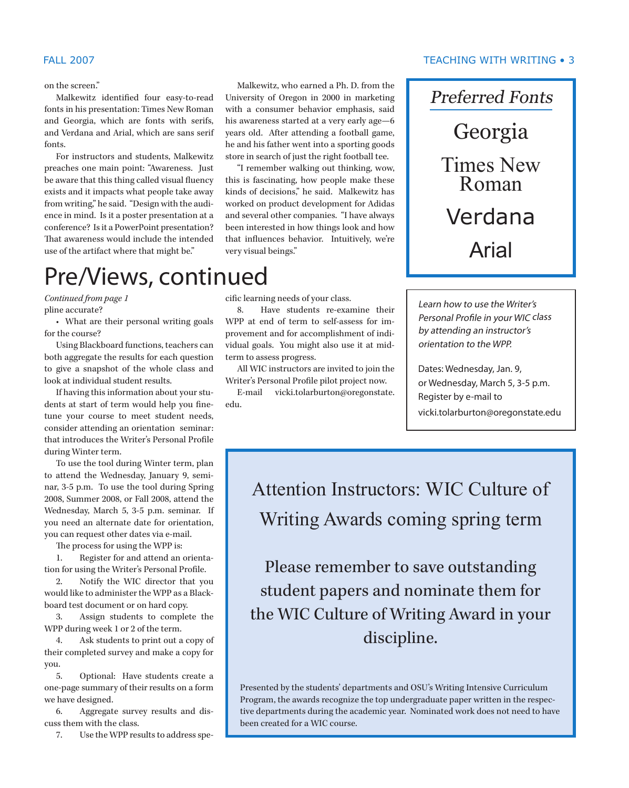on the screen."

Malkewitz identified four easy-to-read fonts in his presentation: Times New Roman and Georgia, which are fonts with serifs, and Verdana and Arial, which are sans serif fonts.

For instructors and students, Malkewitz preaches one main point: "Awareness. Just be aware that this thing called visual fluency exists and it impacts what people take away from writing," he said. "Design with the audience in mind. Is it a poster presentation at a conference? Is it a PowerPoint presentation? That awareness would include the intended use of the artifact where that might be."

Malkewitz, who earned a Ph. D. from the University of Oregon in 2000 in marketing with a consumer behavior emphasis, said his awareness started at a very early age—6 years old. After attending a football game, he and his father went into a sporting goods store in search of just the right football tee.

"I remember walking out thinking, wow, this is fascinating, how people make these kinds of decisions," he said. Malkewitz has worked on product development for Adidas and several other companies. "I have always been interested in how things look and how that influences behavior. Intuitively, we're very visual beings."

# Pre/Views, continued

pline accurate? *Continued from page 1*

• What are their personal writing goals for the course?

Using Blackboard functions, teachers can both aggregate the results for each question to give a snapshot of the whole class and look at individual student results.

If having this information about your students at start of term would help you finetune your course to meet student needs, consider attending an orientation seminar: that introduces the Writer's Personal Profile during Winter term.

To use the tool during Winter term, plan to attend the Wednesday, January 9, seminar, 3-5 p.m. To use the tool during Spring 2008, Summer 2008, or Fall 2008, attend the Wednesday, March 5, 3-5 p.m. seminar. If you need an alternate date for orientation, you can request other dates via e-mail.

The process for using the WPP is:

1. Register for and attend an orientation for using the Writer's Personal Profile.

2. Notify the WIC director that you would like to administer the WPP as a Blackboard test document or on hard copy.

3. Assign students to complete the WPP during week 1 or 2 of the term.

4. Ask students to print out a copy of their completed survey and make a copy for you.

5. Optional: Have students create a one-page summary of their results on a form we have designed.

6. Aggregate survey results and discuss them with the class.

7. Use the WPP results to address spe-

cific learning needs of your class.

8. Have students re-examine their WPP at end of term to self-assess for improvement and for accomplishment of individual goals. You might also use it at midterm to assess progress.

All WIC instructors are invited to join the Writer's Personal Profile pilot project now.

E-mail vicki.tolarburton@oregonstate. edu.

#### • TEACHING WITH WRITING FALL 2007 FALL 2007 TEACHING WITH WRITING •

Preferred Fonts Georgia Times New Roman Verdana Arial

Learn how to use the Writer's Personal Profile in your WIC class by attending an instructor's orientation to the WPP.

Dates: Wednesday, Jan. 9, or Wednesday, March 5, 3-5 p.m. Register by e-mail to vicki.tolarburton@oregonstate.edu

Attention Instructors: WIC Culture of Writing Awards coming spring term

Please remember to save outstanding student papers and nominate them for the WIC Culture of Writing Award in your discipline.

Presented by the students' departments and OSU's Writing Intensive Curriculum Program, the awards recognize the top undergraduate paper written in the respective departments during the academic year. Nominated work does not need to have been created for a WIC course.